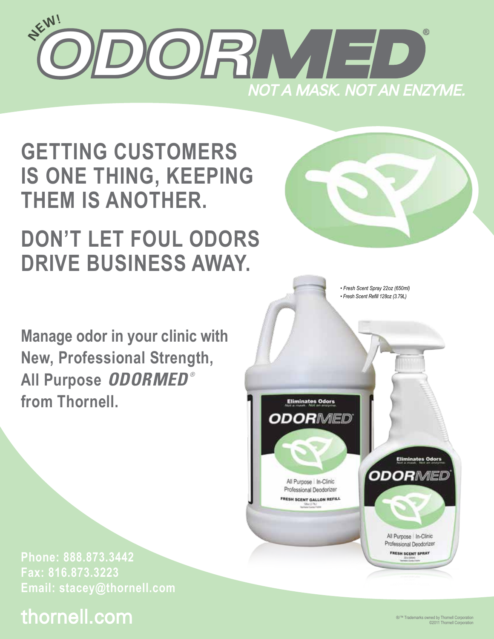

**GETTING CUSTOMERS IS ONE THING, KEEPING THEM IS ANOTHER.** 

# **DON'T LET FOUL ODORS DRIVE BUSINESS AWAY.**

**Manage odor in your clinic with New, Professional Strength, All Purpose** *ODORMED ®* **from Thornell.**



# thornell.com



*• Fresh Scent Spray 22oz (650ml) • Fresh Scent Refill 128oz (3.79L)*

All Purpose In-Clinic Professional Deodorizer FRESH SCENT GALLON REFILL

**Eliminates Odors** 

**ODORMED** 

All Purpose In-Clinic Professional Deodorizer **FRESH SCENT SPRAY** 

**Eliminates Odors** 

ODORMED